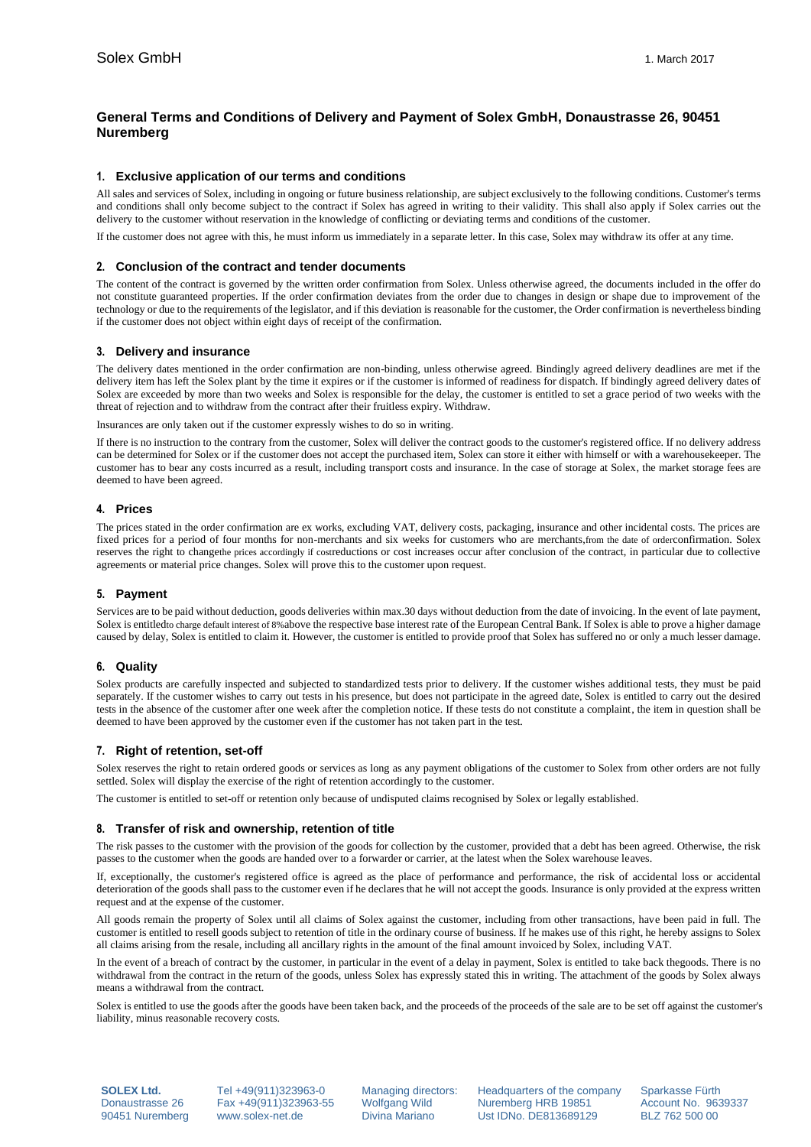# **General Terms and Conditions of Delivery and Payment of Solex GmbH, Donaustrasse 26, 90451 Nuremberg**

# **1. Exclusive application of our terms and conditions**

All sales and services of Solex, including in ongoing or future business relationship, are subject exclusively to the following conditions. Customer's terms and conditions shall only become subject to the contract if Solex has agreed in writing to their validity. This shall also apply if Solex carries out the delivery to the customer without reservation in the knowledge of conflicting or deviating terms and conditions of the customer.

If the customer does not agree with this, he must inform us immediately in a separate letter. In this case, Solex may withdraw its offer at any time.

## **2. Conclusion of the contract and tender documents**

The content of the contract is governed by the written order confirmation from Solex. Unless otherwise agreed, the documents included in the offer do not constitute guaranteed properties. If the order confirmation deviates from the order due to changes in design or shape due to improvement of the technology or due to the requirements of the legislator, and if this deviation is reasonable for the customer, the Order confirmation is nevertheless binding if the customer does not object within eight days of receipt of the confirmation.

## **3. Delivery and insurance**

The delivery dates mentioned in the order confirmation are non-binding, unless otherwise agreed. Bindingly agreed delivery deadlines are met if the delivery item has left the Solex plant by the time it expires or if the customer is informed of readiness for dispatch. If bindingly agreed delivery dates of Solex are exceeded by more than two weeks and Solex is responsible for the delay, the customer is entitled to set a grace period of two weeks with the threat of rejection and to withdraw from the contract after their fruitless expiry. Withdraw.

Insurances are only taken out if the customer expressly wishes to do so in writing.

If there is no instruction to the contrary from the customer, Solex will deliver the contract goods to the customer's registered office. If no delivery address can be determined for Solex or if the customer does not accept the purchased item, Solex can store it either with himself or with a warehousekeeper. The customer has to bear any costs incurred as a result, including transport costs and insurance. In the case of storage at Solex, the market storage fees are deemed to have been agreed.

## **4. Prices**

The prices stated in the order confirmation are ex works, excluding VAT, delivery costs, packaging, insurance and other incidental costs. The prices are fixed prices for a period of four months for non-merchants and six weeks for customers who are merchants,from the date of orderconfirmation. Solex reserves the right to changethe prices accordingly if costreductions or cost increases occur after conclusion of the contract, in particular due to collective agreements or material price changes. Solex will prove this to the customer upon request.

#### **5. Payment**

Services are to be paid without deduction, goods deliveries within max.30 days without deduction from the date of invoicing. In the event of late payment, Solex is entitledto charge default interest of 8%above the respective base interest rate of the European Central Bank. If Solex is able to prove a higher damage caused by delay, Solex is entitled to claim it. However, the customer is entitled to provide proof that Solex has suffered no or only a much lesser damage.

# **6. Quality**

Solex products are carefully inspected and subjected to standardized tests prior to delivery. If the customer wishes additional tests, they must be paid separately. If the customer wishes to carry out tests in his presence, but does not participate in the agreed date, Solex is entitled to carry out the desired tests in the absence of the customer after one week after the completion notice. If these tests do not constitute a complaint, the item in question shall be deemed to have been approved by the customer even if the customer has not taken part in the test.

# **7. Right of retention, set-off**

Solex reserves the right to retain ordered goods or services as long as any payment obligations of the customer to Solex from other orders are not fully settled. Solex will display the exercise of the right of retention accordingly to the customer.

The customer is entitled to set-off or retention only because of undisputed claims recognised by Solex or legally established.

#### **8. Transfer of risk and ownership, retention of title**

The risk passes to the customer with the provision of the goods for collection by the customer, provided that a debt has been agreed. Otherwise, the risk passes to the customer when the goods are handed over to a forwarder or carrier, at the latest when the Solex warehouse leaves.

If, exceptionally, the customer's registered office is agreed as the place of performance and performance, the risk of accidental loss or accidental deterioration of the goods shall pass to the customer even if he declares that he will not accept the goods. Insurance is only provided at the express written request and at the expense of the customer.

All goods remain the property of Solex until all claims of Solex against the customer, including from other transactions, have been paid in full. The customer is entitled to resell goods subject to retention of title in the ordinary course of business. If he makes use of this right, he hereby assigns to Solex all claims arising from the resale, including all ancillary rights in the amount of the final amount invoiced by Solex, including VAT.

In the event of a breach of contract by the customer, in particular in the event of a delay in payment, Solex is entitled to take back thegoods. There is no withdrawal from the contract in the return of the goods, unless Solex has expressly stated this in writing. The attachment of the goods by Solex always means a withdrawal from the contract.

Solex is entitled to use the goods after the goods have been taken back, and the proceeds of the proceeds of the sale are to be set off against the customer's liability, minus reasonable recovery costs.

**SOLEX Ltd.** Tel +49(911)323963-0 Managing directors: Headquarters of the company Sparkasse Fürth<br>Donaustrasse 26 Fax +49(911)323963-55 Wolfgang Wild Nuremberg HRB 19851 Account No. 963 Donaustrasse 26 Fax +49(911)323963-55 Wolfgang Wild Nuremberg HRB 19851 Account No. 9639337 90451 Nuremberg www.solex-net.de Divina Mariano Ust IDNo. DE813689129 BLZ 762 500 00